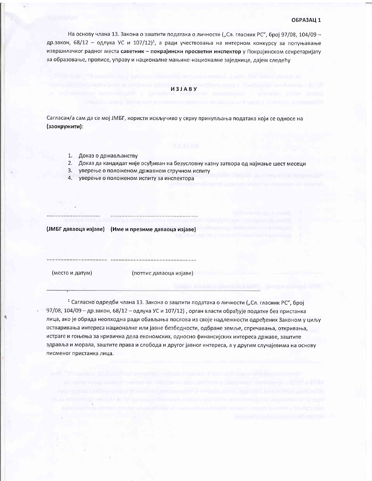На основу члана 13. Закона о заштити података о личности ("Сл. гласник РС", број 97/08, 104/09 др.закон, 68/12 - одлука УС и 107/12)<sup>1</sup>, а ради учествовања на интерном конкурсу за попуњавање извршилачког радног места саветник - покрајински просветни инспектор у Покрајинском секретаријату за образовање, прописе, управу и националне мањине-националне заједнице, дајем следећу

## *U3IARV*

Сагласан/а сам да се мој ЈМБГ, користи искључиво у сврху прикупљања података који се односе на (заокружити):

- 1. Доказ о држављанству
- 2. Доказ да кандидат није осуђиван на безусловну казну затвора од најмање шест месеци
- $3.$ уверење о положеном државном стручном испиту
- $4.$ уверење о положеном испиту за инспектора

(ЈМБГ даваоца изјаве) (Име и презиме даваоца изјаве)

(место и датум)

..................................

(потпис даваоца изјаве)

<sup>1</sup> Сагласно одредби члана 13. Закона о заштити података о личности ("Сл. гласник РС", број 97/08, 104/09 - др.закон, 68/12 - одлука УС и 107/12), орган власти обрађује податке без пристанка лица, ако је обрада неопходна ради обављања послова из своје надлежности одређених Законом у циљу остваривања интереса националне или јавне безбедности, одбране земље, спречавања, откривања, истраге и гоњења за кривична дела економских, односно финансијских интереса државе, заштите здравља и морала, заштите права и слобода и другог јавног интереса, а у другим случајевима на основу писменог пристанка лица.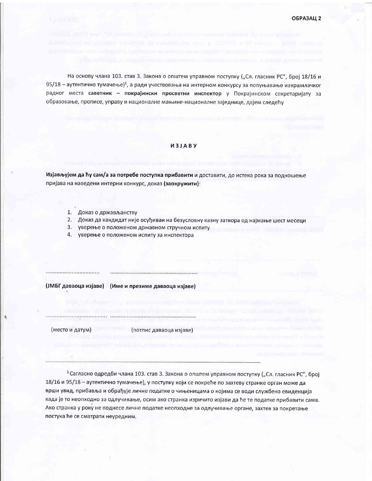На основу члана 103. став 3. Закона о општем управном поступку ("Сл. гласник РС", број 18/16 и 95/18 - аутентично тумачење)<sup>1</sup>, а ради учествовања на интерном конкурсу за попуњавање извршилачког радног места саветник - покрајински просветни инспектор у Покрајинском секретаријату за образовање, прописе, управу и националне мањине-националне заједнице, дајем следећу

## *M3JABY*

Изјављујем да ћу сам/а за потребе поступка прибавити и доставити, до истека рока за подношење пријава на наведени интерни конкурс, доказ (заокружити):

- 1. Доказ о држављанству
- 2. Доказ да кандидат није осуђиван на безусловну казну затвора од најмање шест месеци
- 3. уверење о положеном државном стручном испиту
- 4. уверење о положеном испиту за инспектора

(ЈМБГ даваоца изјаве) (Име и презиме даваоца изјаве)

(место и датум)

(потпис даваоца изјаве)

<sup>1</sup> Сагласно одредби члана 103. став 3. Закона о општем управном поступку ("Сл. гласник РС", број 18/16 и 95/18 - аутентично тумачење), у поступку који се покреће по захтеву странке орган може да врши увид, прибавља и обрађује личне податке о чињеницама о којима се води службена евиденција када је то неопходно за одлучивање, осим ако странка изричито изјави да ће те податке прибавити сама. Ако странка у року не поднесе личне податке неопходне за одлучивање органе, захтев за покретање постука ће се сматрати неуредним.